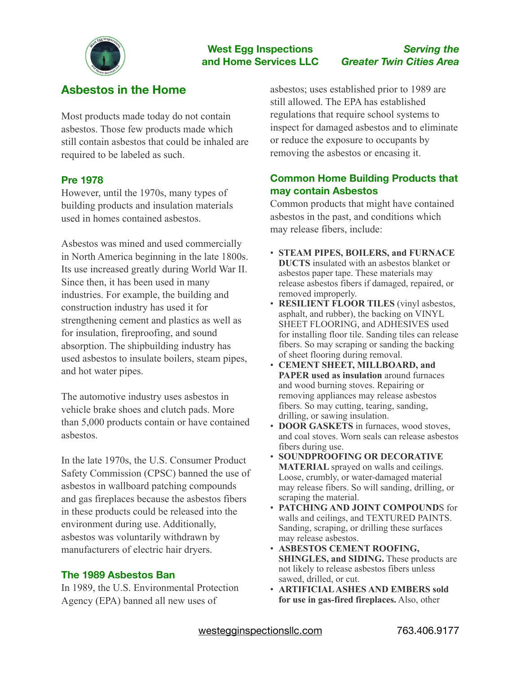

## **West Egg Inspections and Home Services LLC**

## *Serving the Greater Twin Cities Area*

# **Asbestos in the Home**

Most products made today do not contain asbestos. Those few products made which still contain asbestos that could be inhaled are required to be labeled as such.

#### **Pre 1978**

However, until the 1970s, many types of building products and insulation materials used in homes contained asbestos.

Asbestos was mined and used commercially in North America beginning in the late 1800s. Its use increased greatly during World War II. Since then, it has been used in many industries. For example, the building and construction industry has used it for strengthening cement and plastics as well as for insulation, fireproofing, and sound absorption. The shipbuilding industry has used asbestos to insulate boilers, steam pipes, and hot water pipes.

The automotive industry uses asbestos in vehicle brake shoes and clutch pads. More than 5,000 products contain or have contained asbestos.

In the late 1970s, the U.S. Consumer Product Safety Commission (CPSC) banned the use of asbestos in wallboard patching compounds and gas fireplaces because the asbestos fibers in these products could be released into the environment during use. Additionally, asbestos was voluntarily withdrawn by manufacturers of electric hair dryers.

#### **The 1989 Asbestos Ban**

In 1989, the U.S. Environmental Protection Agency (EPA) banned all new uses of

asbestos; uses established prior to 1989 are still allowed. The EPA has established regulations that require school systems to inspect for damaged asbestos and to eliminate or reduce the exposure to occupants by removing the asbestos or encasing it.

## **Common Home Building Products that may contain Asbestos**

Common products that might have contained asbestos in the past, and conditions which may release fibers, include:

- **STEAM PIPES, BOILERS, and FURNACE DUCTS** insulated with an asbestos blanket or asbestos paper tape. These materials may release asbestos fibers if damaged, repaired, or removed improperly.
- **RESILIENT FLOOR TILES** (vinyl asbestos, asphalt, and rubber), the backing on VINYL SHEET FLOORING, and ADHESIVES used for installing floor tile. Sanding tiles can release fibers. So may scraping or sanding the backing of sheet flooring during removal.
- **CEMENT SHEET, MILLBOARD, and PAPER** used as insulation around furnaces and wood burning stoves. Repairing or removing appliances may release asbestos fibers. So may cutting, tearing, sanding, drilling, or sawing insulation.
- **DOOR GASKETS** in furnaces, wood stoves, and coal stoves. Worn seals can release asbestos fibers during use.
- **SOUNDPROOFING OR DECORATIVE MATERIAL** sprayed on walls and ceilings. Loose, crumbly, or water-damaged material may release fibers. So will sanding, drilling, or scraping the material.
- **PATCHING AND JOINT COMPOUND**S for walls and ceilings, and TEXTURED PAINTS. Sanding, scraping, or drilling these surfaces may release asbestos.
- **ASBESTOS CEMENT ROOFING, SHINGLES, and SIDING.** These products are not likely to release asbestos fibers unless sawed, drilled, or cut.
- **ARTIFICIAL ASHES AND EMBERS sold for use in gas-fired fireplaces.** Also, other